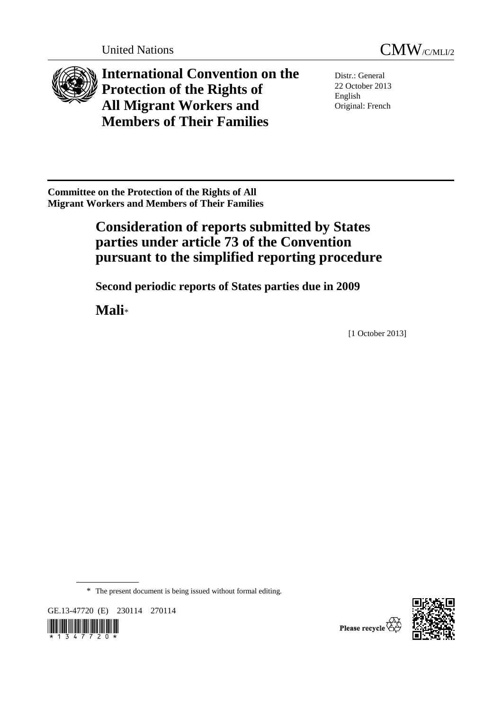



**International Convention on the Protection of the Rights of All Migrant Workers and Members of Their Families**

Distr.: General 22 October 2013 English Original: French

**Committee on the Protection of the Rights of All Migrant Workers and Members of Their Families** 

# **Consideration of reports submitted by States parties under article 73 of the Convention pursuant to the simplified reporting procedure**

 **Second periodic reports of States parties due in 2009** 

 **Mali**\*

[1 October 2013]

\* The present document is being issued without formal editing.

GE.13-47720 (E) 230114 270114





Please recycle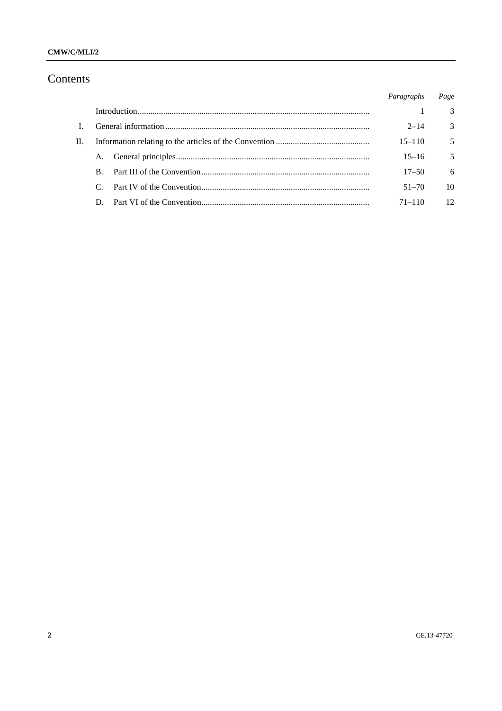### CMW/C/MLI/2

## Contents

|     |               |  | Paragraphs | Page            |
|-----|---------------|--|------------|-----------------|
|     |               |  |            | $\mathcal{E}$   |
|     |               |  | $2 - 14$   | $\mathcal{F}$   |
| II. |               |  | $15 - 110$ | 5               |
|     | A.            |  | $15 - 16$  | 5               |
|     | $\mathbf{B}$  |  | $17 - 50$  | -6              |
|     | $\mathcal{C}$ |  | $51 - 70$  | 10              |
|     | D.            |  | $71 - 110$ | 12 <sup>2</sup> |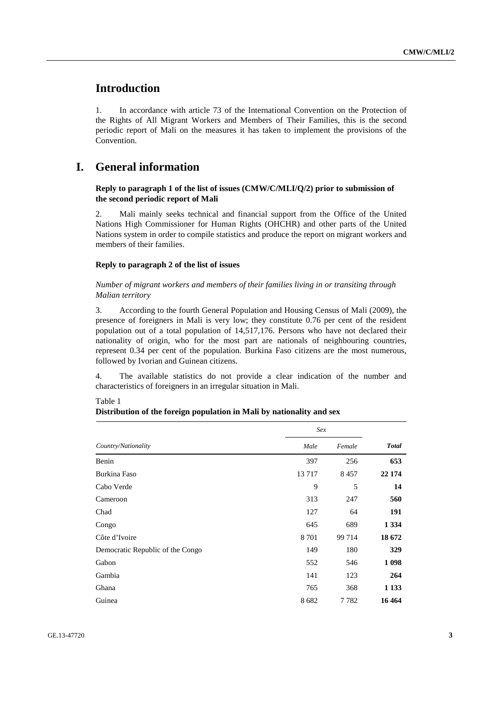## **Introduction**

1. In accordance with article 73 of the International Convention on the Protection of the Rights of All Migrant Workers and Members of Their Families, this is the second periodic report of Mali on the measures it has taken to implement the provisions of the Convention.

## **I. General information**

### **Reply to paragraph 1 of the list of issues (CMW/C/MLI/Q/2) prior to submission of the second periodic report of Mali**

2. Mali mainly seeks technical and financial support from the Office of the United Nations High Commissioner for Human Rights (OHCHR) and other parts of the United Nations system in order to compile statistics and produce the report on migrant workers and members of their families.

### **Reply to paragraph 2 of the list of issues**

 *Number of migrant workers and members of their families living in or transiting through Malian territory* 

3. According to the fourth General Population and Housing Census of Mali (2009), the presence of foreigners in Mali is very low; they constitute 0.76 per cent of the resident population out of a total population of 14,517,176. Persons who have not declared their nationality of origin, who for the most part are nationals of neighbouring countries, represent 0.34 per cent of the population. Burkina Faso citizens are the most numerous, followed by Ivorian and Guinean citizens.

4. The available statistics do not provide a clear indication of the number and characteristics of foreigners in an irregular situation in Mali.

### Table 1

### **Distribution of the foreign population in Mali by nationality and sex**

|                                  | Sex     |        | <b>Total</b> |
|----------------------------------|---------|--------|--------------|
| Country/Nationality              | Male    | Female |              |
| Benin                            | 397     | 256    | 653          |
| Burkina Faso                     | 13717   | 8457   | 22 174       |
| Cabo Verde                       | 9       | 5      | 14           |
| Cameroon                         | 313     | 247    | 560          |
| Chad                             | 127     | 64     | 191          |
| Congo                            | 645     | 689    | 1 3 3 4      |
| Côte d'Ivoire                    | 8 7 0 1 | 99714  | 18 672       |
| Democratic Republic of the Congo | 149     | 180    | 329          |
| Gabon                            | 552     | 546    | 1 0 9 8      |
| Gambia                           | 141     | 123    | 264          |
| Ghana                            | 765     | 368    | 1 1 3 3      |
| Guinea                           | 8682    | 7782   | 16 4 64      |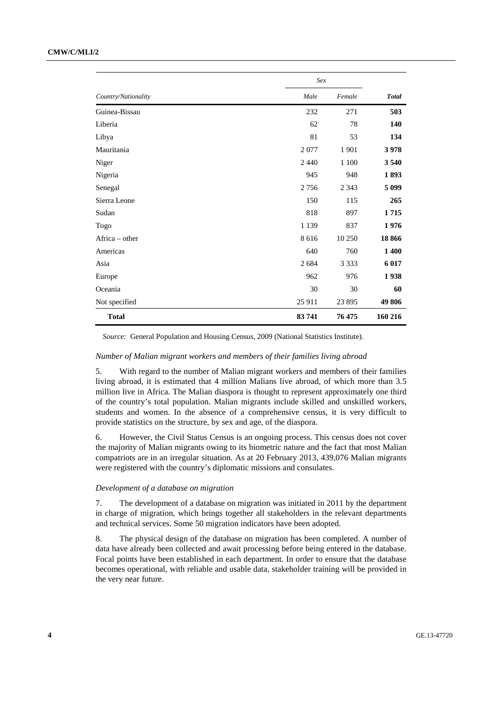### **CMW/C/MLI/2**

|                     | Sex     |         |              |
|---------------------|---------|---------|--------------|
| Country/Nationality | Male    | Female  | <b>Total</b> |
| Guinea-Bissau       | 232     | 271     | 503          |
| Liberia             | 62      | 78      | 140          |
| Libya               | 81      | 53      | 134          |
| Mauritania          | 2077    | 1 9 0 1 | 3978         |
| Niger               | 2440    | 1 100   | 3 5 4 0      |
| Nigeria             | 945     | 948     | 1893         |
| Senegal             | 2756    | 2 3 4 3 | 5 0 9 9      |
| Sierra Leone        | 150     | 115     | 265          |
| Sudan               | 818     | 897     | 1715         |
| Togo                | 1 1 3 9 | 837     | 1976         |
| Africa – other      | 8616    | 10 250  | 18866        |
| Americas            | 640     | 760     | 1 400        |
| Asia                | 2684    | 3 3 3 3 | 6 0 1 7      |
| Europe              | 962     | 976     | 1938         |
| Oceania             | 30      | 30      | 60           |
| Not specified       | 25 911  | 23 895  | 49 806       |
| <b>Total</b>        | 83741   | 76 475  | 160 216      |

*Source:* General Population and Housing Census, 2009 (National Statistics Institute).

### *Number of Malian migrant workers and members of their families living abroad*

5. With regard to the number of Malian migrant workers and members of their families living abroad, it is estimated that 4 million Malians live abroad, of which more than 3.5 million live in Africa. The Malian diaspora is thought to represent approximately one third of the country's total population. Malian migrants include skilled and unskilled workers, students and women. In the absence of a comprehensive census, it is very difficult to provide statistics on the structure, by sex and age, of the diaspora.

6. However, the Civil Status Census is an ongoing process. This census does not cover the majority of Malian migrants owing to its biometric nature and the fact that most Malian compatriots are in an irregular situation. As at 20 February 2013, 439,076 Malian migrants were registered with the country's diplomatic missions and consulates.

#### *Development of a database on migration*

7. The development of a database on migration was initiated in 2011 by the department in charge of migration, which brings together all stakeholders in the relevant departments and technical services. Some 50 migration indicators have been adopted.

8. The physical design of the database on migration has been completed. A number of data have already been collected and await processing before being entered in the database. Focal points have been established in each department. In order to ensure that the database becomes operational, with reliable and usable data, stakeholder training will be provided in the very near future.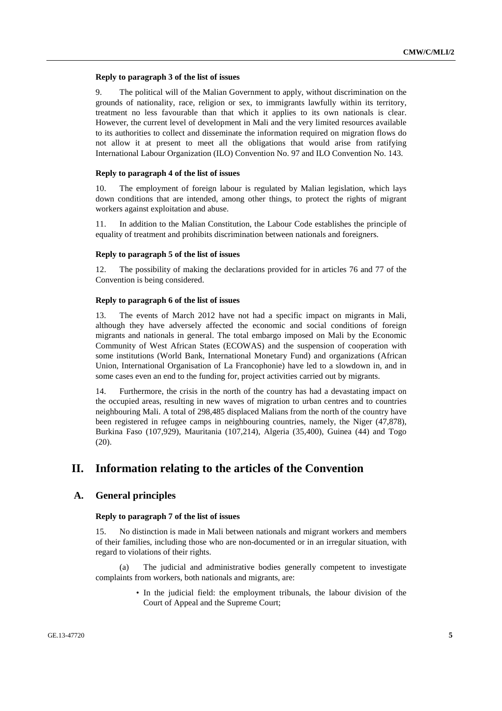### **Reply to paragraph 3 of the list of issues**

9. The political will of the Malian Government to apply, without discrimination on the grounds of nationality, race, religion or sex, to immigrants lawfully within its territory, treatment no less favourable than that which it applies to its own nationals is clear. However, the current level of development in Mali and the very limited resources available to its authorities to collect and disseminate the information required on migration flows do not allow it at present to meet all the obligations that would arise from ratifying International Labour Organization (ILO) Convention No. 97 and ILO Convention No. 143.

### **Reply to paragraph 4 of the list of issues**

10. The employment of foreign labour is regulated by Malian legislation, which lays down conditions that are intended, among other things, to protect the rights of migrant workers against exploitation and abuse.

11. In addition to the Malian Constitution, the Labour Code establishes the principle of equality of treatment and prohibits discrimination between nationals and foreigners.

### **Reply to paragraph 5 of the list of issues**

12. The possibility of making the declarations provided for in articles 76 and 77 of the Convention is being considered.

### **Reply to paragraph 6 of the list of issues**

13. The events of March 2012 have not had a specific impact on migrants in Mali, although they have adversely affected the economic and social conditions of foreign migrants and nationals in general. The total embargo imposed on Mali by the Economic Community of West African States (ECOWAS) and the suspension of cooperation with some institutions (World Bank, International Monetary Fund) and organizations (African Union, International Organisation of La Francophonie) have led to a slowdown in, and in some cases even an end to the funding for, project activities carried out by migrants.

14. Furthermore, the crisis in the north of the country has had a devastating impact on the occupied areas, resulting in new waves of migration to urban centres and to countries neighbouring Mali. A total of 298,485 displaced Malians from the north of the country have been registered in refugee camps in neighbouring countries, namely, the Niger (47,878), Burkina Faso (107,929), Mauritania (107,214), Algeria (35,400), Guinea (44) and Togo  $(20)$ .

### **II. Information relating to the articles of the Convention**

### **A. General principles**

### **Reply to paragraph 7 of the list of issues**

15. No distinction is made in Mali between nationals and migrant workers and members of their families, including those who are non-documented or in an irregular situation, with regard to violations of their rights.

The judicial and administrative bodies generally competent to investigate complaints from workers, both nationals and migrants, are:

> • In the judicial field: the employment tribunals, the labour division of the Court of Appeal and the Supreme Court;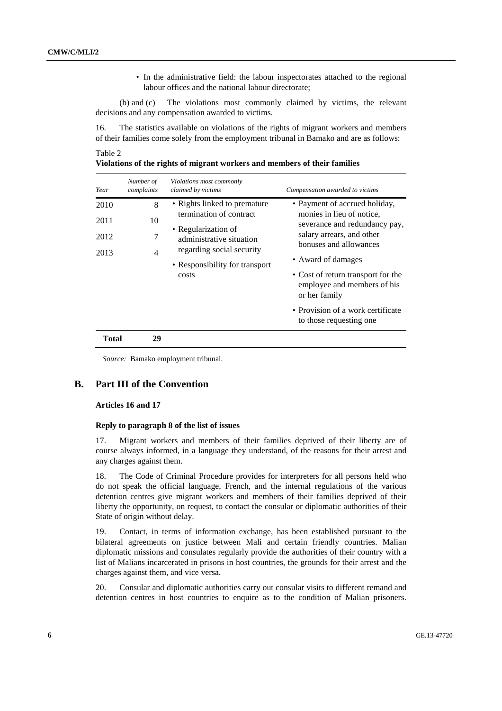• In the administrative field: the labour inspectorates attached to the regional labour offices and the national labour directorate;

 (b) and (c) The violations most commonly claimed by victims, the relevant decisions and any compensation awarded to victims.

16. The statistics available on violations of the rights of migrant workers and members of their families come solely from the employment tribunal in Bamako and are as follows:

### Table 2

| Violations of the rights of migrant workers and members of their families |
|---------------------------------------------------------------------------|
|---------------------------------------------------------------------------|

| Year  | Number of<br>complaints | Violations most commonly<br>claimed by victims                               | Compensation awarded to victims                                                                          |  |
|-------|-------------------------|------------------------------------------------------------------------------|----------------------------------------------------------------------------------------------------------|--|
| 2010  | 8                       | • Rights linked to premature<br>termination of contract                      | • Payment of accrued holiday,                                                                            |  |
| 2011  | 10                      |                                                                              | monies in lieu of notice.<br>severance and redundancy pay,                                               |  |
| 2012  | 7                       | • Regularization of<br>administrative situation<br>regarding social security | salary arrears, and other<br>bonuses and allowances                                                      |  |
| 2013  | $\overline{4}$          | • Responsibility for transport<br>costs                                      | • Award of damages<br>• Cost of return transport for the<br>employee and members of his<br>or her family |  |
|       |                         |                                                                              | • Provision of a work certificate<br>to those requesting one.                                            |  |
| Total | 29                      |                                                                              |                                                                                                          |  |

*Source:* Bamako employment tribunal.

### **B. Part III of the Convention**

#### **Articles 16 and 17**

### **Reply to paragraph 8 of the list of issues**

17. Migrant workers and members of their families deprived of their liberty are of course always informed, in a language they understand, of the reasons for their arrest and any charges against them.

18. The Code of Criminal Procedure provides for interpreters for all persons held who do not speak the official language, French, and the internal regulations of the various detention centres give migrant workers and members of their families deprived of their liberty the opportunity, on request, to contact the consular or diplomatic authorities of their State of origin without delay.

19. Contact, in terms of information exchange, has been established pursuant to the bilateral agreements on justice between Mali and certain friendly countries. Malian diplomatic missions and consulates regularly provide the authorities of their country with a list of Malians incarcerated in prisons in host countries, the grounds for their arrest and the charges against them, and vice versa.

20. Consular and diplomatic authorities carry out consular visits to different remand and detention centres in host countries to enquire as to the condition of Malian prisoners.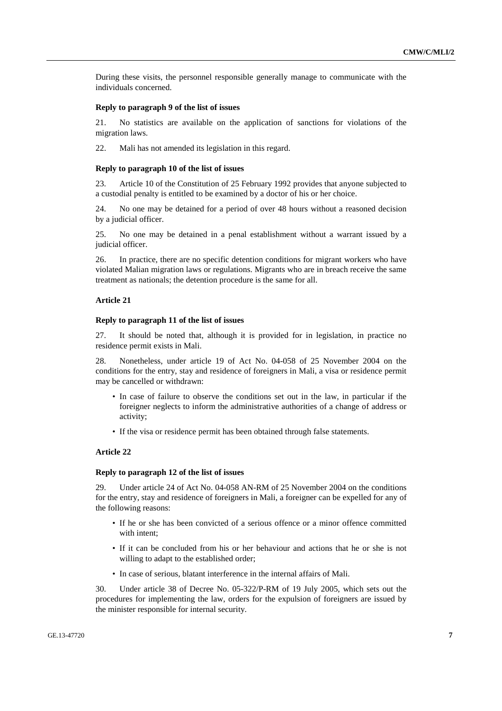During these visits, the personnel responsible generally manage to communicate with the individuals concerned.

### **Reply to paragraph 9 of the list of issues**

21. No statistics are available on the application of sanctions for violations of the migration laws.

22. Mali has not amended its legislation in this regard.

### **Reply to paragraph 10 of the list of issues**

23. Article 10 of the Constitution of 25 February 1992 provides that anyone subjected to a custodial penalty is entitled to be examined by a doctor of his or her choice.

24. No one may be detained for a period of over 48 hours without a reasoned decision by a judicial officer.

25. No one may be detained in a penal establishment without a warrant issued by a judicial officer.

26. In practice, there are no specific detention conditions for migrant workers who have violated Malian migration laws or regulations. Migrants who are in breach receive the same treatment as nationals; the detention procedure is the same for all.

### **Article 21**

### **Reply to paragraph 11 of the list of issues**

27. It should be noted that, although it is provided for in legislation, in practice no residence permit exists in Mali.

28. Nonetheless, under article 19 of Act No. 04-058 of 25 November 2004 on the conditions for the entry, stay and residence of foreigners in Mali, a visa or residence permit may be cancelled or withdrawn:

- In case of failure to observe the conditions set out in the law, in particular if the foreigner neglects to inform the administrative authorities of a change of address or activity;
- If the visa or residence permit has been obtained through false statements.

### **Article 22**

#### **Reply to paragraph 12 of the list of issues**

29. Under article 24 of Act No. 04-058 AN-RM of 25 November 2004 on the conditions for the entry, stay and residence of foreigners in Mali, a foreigner can be expelled for any of the following reasons:

- If he or she has been convicted of a serious offence or a minor offence committed with intent:
- If it can be concluded from his or her behaviour and actions that he or she is not willing to adapt to the established order;
- In case of serious, blatant interference in the internal affairs of Mali.

30. Under article 38 of Decree No. 05-322/P-RM of 19 July 2005, which sets out the procedures for implementing the law, orders for the expulsion of foreigners are issued by the minister responsible for internal security.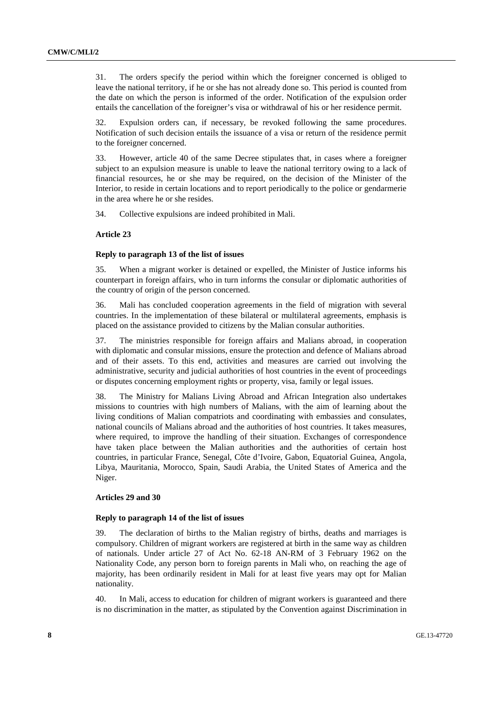31. The orders specify the period within which the foreigner concerned is obliged to leave the national territory, if he or she has not already done so. This period is counted from the date on which the person is informed of the order. Notification of the expulsion order entails the cancellation of the foreigner's visa or withdrawal of his or her residence permit.

32. Expulsion orders can, if necessary, be revoked following the same procedures. Notification of such decision entails the issuance of a visa or return of the residence permit to the foreigner concerned.

33. However, article 40 of the same Decree stipulates that, in cases where a foreigner subject to an expulsion measure is unable to leave the national territory owing to a lack of financial resources, he or she may be required, on the decision of the Minister of the Interior, to reside in certain locations and to report periodically to the police or gendarmerie in the area where he or she resides.

34. Collective expulsions are indeed prohibited in Mali.

### **Article 23**

### **Reply to paragraph 13 of the list of issues**

35. When a migrant worker is detained or expelled, the Minister of Justice informs his counterpart in foreign affairs, who in turn informs the consular or diplomatic authorities of the country of origin of the person concerned.

36. Mali has concluded cooperation agreements in the field of migration with several countries. In the implementation of these bilateral or multilateral agreements, emphasis is placed on the assistance provided to citizens by the Malian consular authorities.

37. The ministries responsible for foreign affairs and Malians abroad, in cooperation with diplomatic and consular missions, ensure the protection and defence of Malians abroad and of their assets. To this end, activities and measures are carried out involving the administrative, security and judicial authorities of host countries in the event of proceedings or disputes concerning employment rights or property, visa, family or legal issues.

38. The Ministry for Malians Living Abroad and African Integration also undertakes missions to countries with high numbers of Malians, with the aim of learning about the living conditions of Malian compatriots and coordinating with embassies and consulates, national councils of Malians abroad and the authorities of host countries. It takes measures, where required, to improve the handling of their situation. Exchanges of correspondence have taken place between the Malian authorities and the authorities of certain host countries, in particular France, Senegal, Côte d'Ivoire, Gabon, Equatorial Guinea, Angola, Libya, Mauritania, Morocco, Spain, Saudi Arabia, the United States of America and the Niger.

### **Articles 29 and 30**

### **Reply to paragraph 14 of the list of issues**

39. The declaration of births to the Malian registry of births, deaths and marriages is compulsory. Children of migrant workers are registered at birth in the same way as children of nationals. Under article 27 of Act No. 62-18 AN-RM of 3 February 1962 on the Nationality Code, any person born to foreign parents in Mali who, on reaching the age of majority, has been ordinarily resident in Mali for at least five years may opt for Malian nationality.

40. In Mali, access to education for children of migrant workers is guaranteed and there is no discrimination in the matter, as stipulated by the Convention against Discrimination in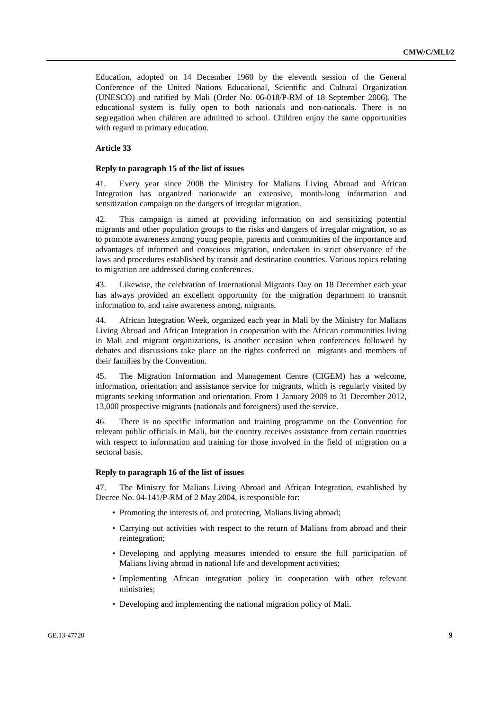Education, adopted on 14 December 1960 by the eleventh session of the General Conference of the United Nations Educational, Scientific and Cultural Organization (UNESCO) and ratified by Mali (Order No. 06-018/P-RM of 18 September 2006). The educational system is fully open to both nationals and non-nationals. There is no segregation when children are admitted to school. Children enjoy the same opportunities with regard to primary education.

### **Article 33**

#### **Reply to paragraph 15 of the list of issues**

41. Every year since 2008 the Ministry for Malians Living Abroad and African Integration has organized nationwide an extensive, month-long information and sensitization campaign on the dangers of irregular migration.

42. This campaign is aimed at providing information on and sensitizing potential migrants and other population groups to the risks and dangers of irregular migration, so as to promote awareness among young people, parents and communities of the importance and advantages of informed and conscious migration, undertaken in strict observance of the laws and procedures established by transit and destination countries. Various topics relating to migration are addressed during conferences.

43. Likewise, the celebration of International Migrants Day on 18 December each year has always provided an excellent opportunity for the migration department to transmit information to, and raise awareness among, migrants.

44. African Integration Week, organized each year in Mali by the Ministry for Malians Living Abroad and African Integration in cooperation with the African communities living in Mali and migrant organizations, is another occasion when conferences followed by debates and discussions take place on the rights conferred on migrants and members of their families by the Convention.

45. The Migration Information and Management Centre (CIGEM) has a welcome, information, orientation and assistance service for migrants, which is regularly visited by migrants seeking information and orientation. From 1 January 2009 to 31 December 2012, 13,000 prospective migrants (nationals and foreigners) used the service.

46. There is no specific information and training programme on the Convention for relevant public officials in Mali, but the country receives assistance from certain countries with respect to information and training for those involved in the field of migration on a sectoral basis.

### **Reply to paragraph 16 of the list of issues**

47. The Ministry for Malians Living Abroad and African Integration, established by Decree No. 04-141/P-RM of 2 May 2004, is responsible for:

- Promoting the interests of, and protecting, Malians living abroad;
- Carrying out activities with respect to the return of Malians from abroad and their reintegration;
- Developing and applying measures intended to ensure the full participation of Malians living abroad in national life and development activities;
- Implementing African integration policy in cooperation with other relevant ministries;
- Developing and implementing the national migration policy of Mali.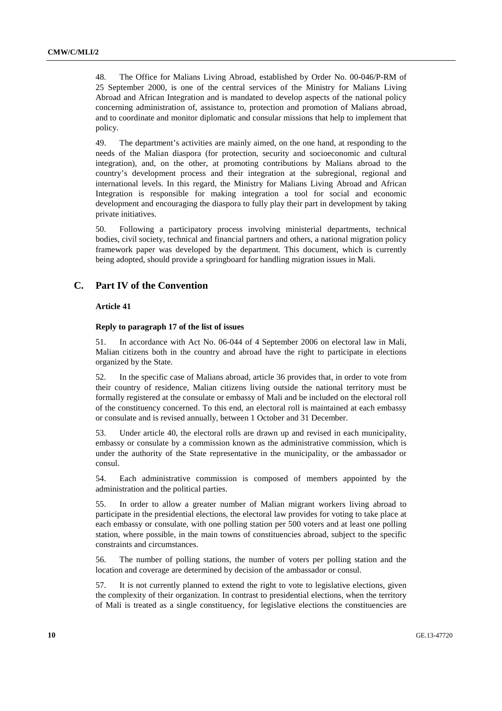48. The Office for Malians Living Abroad, established by Order No. 00-046/P-RM of 25 September 2000, is one of the central services of the Ministry for Malians Living Abroad and African Integration and is mandated to develop aspects of the national policy concerning administration of, assistance to, protection and promotion of Malians abroad, and to coordinate and monitor diplomatic and consular missions that help to implement that policy.

49. The department's activities are mainly aimed, on the one hand, at responding to the needs of the Malian diaspora (for protection, security and socioeconomic and cultural integration), and, on the other, at promoting contributions by Malians abroad to the country's development process and their integration at the subregional, regional and international levels. In this regard, the Ministry for Malians Living Abroad and African Integration is responsible for making integration a tool for social and economic development and encouraging the diaspora to fully play their part in development by taking private initiatives.

50. Following a participatory process involving ministerial departments, technical bodies, civil society, technical and financial partners and others, a national migration policy framework paper was developed by the department. This document, which is currently being adopted, should provide a springboard for handling migration issues in Mali.

### **C. Part IV of the Convention**

### **Article 41**

### **Reply to paragraph 17 of the list of issues**

51. In accordance with Act No. 06-044 of 4 September 2006 on electoral law in Mali, Malian citizens both in the country and abroad have the right to participate in elections organized by the State.

52. In the specific case of Malians abroad, article 36 provides that, in order to vote from their country of residence, Malian citizens living outside the national territory must be formally registered at the consulate or embassy of Mali and be included on the electoral roll of the constituency concerned. To this end, an electoral roll is maintained at each embassy or consulate and is revised annually, between 1 October and 31 December.

53. Under article 40, the electoral rolls are drawn up and revised in each municipality, embassy or consulate by a commission known as the administrative commission, which is under the authority of the State representative in the municipality, or the ambassador or consul.

54. Each administrative commission is composed of members appointed by the administration and the political parties.

55. In order to allow a greater number of Malian migrant workers living abroad to participate in the presidential elections, the electoral law provides for voting to take place at each embassy or consulate, with one polling station per 500 voters and at least one polling station, where possible, in the main towns of constituencies abroad, subject to the specific constraints and circumstances.

56. The number of polling stations, the number of voters per polling station and the location and coverage are determined by decision of the ambassador or consul.

57. It is not currently planned to extend the right to vote to legislative elections, given the complexity of their organization. In contrast to presidential elections, when the territory of Mali is treated as a single constituency, for legislative elections the constituencies are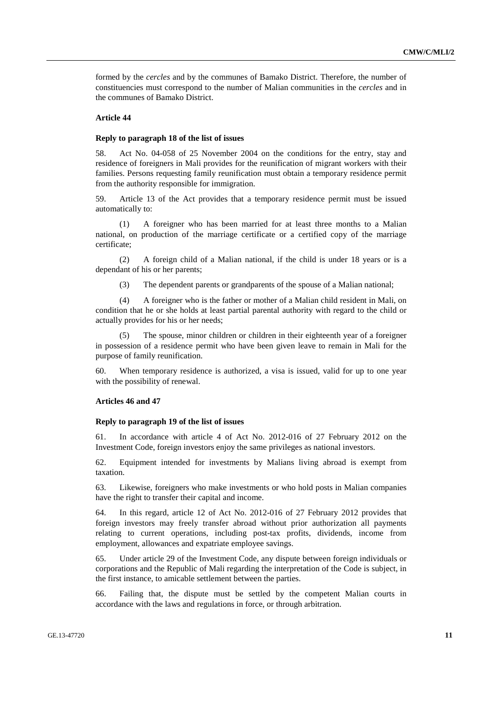formed by the *cercles* and by the communes of Bamako District. Therefore, the number of constituencies must correspond to the number of Malian communities in the *cercles* and in the communes of Bamako District.

### **Article 44**

### **Reply to paragraph 18 of the list of issues**

58. Act No. 04-058 of 25 November 2004 on the conditions for the entry, stay and residence of foreigners in Mali provides for the reunification of migrant workers with their families. Persons requesting family reunification must obtain a temporary residence permit from the authority responsible for immigration.

59. Article 13 of the Act provides that a temporary residence permit must be issued automatically to:

 (1) A foreigner who has been married for at least three months to a Malian national, on production of the marriage certificate or a certified copy of the marriage certificate;

 (2) A foreign child of a Malian national, if the child is under 18 years or is a dependant of his or her parents;

(3) The dependent parents or grandparents of the spouse of a Malian national;

 (4) A foreigner who is the father or mother of a Malian child resident in Mali, on condition that he or she holds at least partial parental authority with regard to the child or actually provides for his or her needs;

The spouse, minor children or children in their eighteenth year of a foreigner in possession of a residence permit who have been given leave to remain in Mali for the purpose of family reunification.

60. When temporary residence is authorized, a visa is issued, valid for up to one year with the possibility of renewal.

### **Articles 46 and 47**

#### **Reply to paragraph 19 of the list of issues**

61. In accordance with article 4 of Act No. 2012-016 of 27 February 2012 on the Investment Code, foreign investors enjoy the same privileges as national investors.

62. Equipment intended for investments by Malians living abroad is exempt from taxation.

63. Likewise, foreigners who make investments or who hold posts in Malian companies have the right to transfer their capital and income.

64. In this regard, article 12 of Act No. 2012-016 of 27 February 2012 provides that foreign investors may freely transfer abroad without prior authorization all payments relating to current operations, including post-tax profits, dividends, income from employment, allowances and expatriate employee savings.

65. Under article 29 of the Investment Code, any dispute between foreign individuals or corporations and the Republic of Mali regarding the interpretation of the Code is subject, in the first instance, to amicable settlement between the parties.

66. Failing that, the dispute must be settled by the competent Malian courts in accordance with the laws and regulations in force, or through arbitration.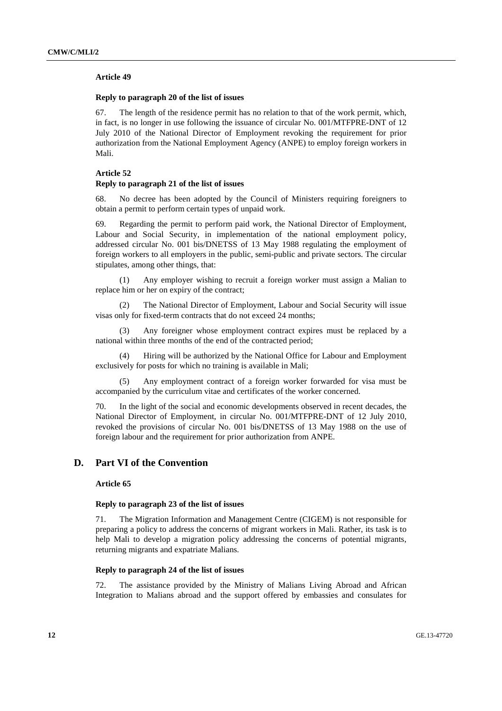### **Article 49**

### **Reply to paragraph 20 of the list of issues**

67. The length of the residence permit has no relation to that of the work permit, which, in fact, is no longer in use following the issuance of circular No. 001/MTFPRE-DNT of 12 July 2010 of the National Director of Employment revoking the requirement for prior authorization from the National Employment Agency (ANPE) to employ foreign workers in Mali.

### **Article 52**

### **Reply to paragraph 21 of the list of issues**

68. No decree has been adopted by the Council of Ministers requiring foreigners to obtain a permit to perform certain types of unpaid work.

69. Regarding the permit to perform paid work, the National Director of Employment, Labour and Social Security, in implementation of the national employment policy, addressed circular No. 001 bis/DNETSS of 13 May 1988 regulating the employment of foreign workers to all employers in the public, semi-public and private sectors. The circular stipulates, among other things, that:

 (1) Any employer wishing to recruit a foreign worker must assign a Malian to replace him or her on expiry of the contract;

 (2) The National Director of Employment, Labour and Social Security will issue visas only for fixed-term contracts that do not exceed 24 months;

 (3) Any foreigner whose employment contract expires must be replaced by a national within three months of the end of the contracted period;

 (4) Hiring will be authorized by the National Office for Labour and Employment exclusively for posts for which no training is available in Mali;

 (5) Any employment contract of a foreign worker forwarded for visa must be accompanied by the curriculum vitae and certificates of the worker concerned.

70. In the light of the social and economic developments observed in recent decades, the National Director of Employment, in circular No. 001/MTFPRE-DNT of 12 July 2010, revoked the provisions of circular No. 001 bis/DNETSS of 13 May 1988 on the use of foreign labour and the requirement for prior authorization from ANPE.

### **D. Part VI of the Convention**

#### **Article 65**

### **Reply to paragraph 23 of the list of issues**

71. The Migration Information and Management Centre (CIGEM) is not responsible for preparing a policy to address the concerns of migrant workers in Mali. Rather, its task is to help Mali to develop a migration policy addressing the concerns of potential migrants, returning migrants and expatriate Malians.

### **Reply to paragraph 24 of the list of issues**

72. The assistance provided by the Ministry of Malians Living Abroad and African Integration to Malians abroad and the support offered by embassies and consulates for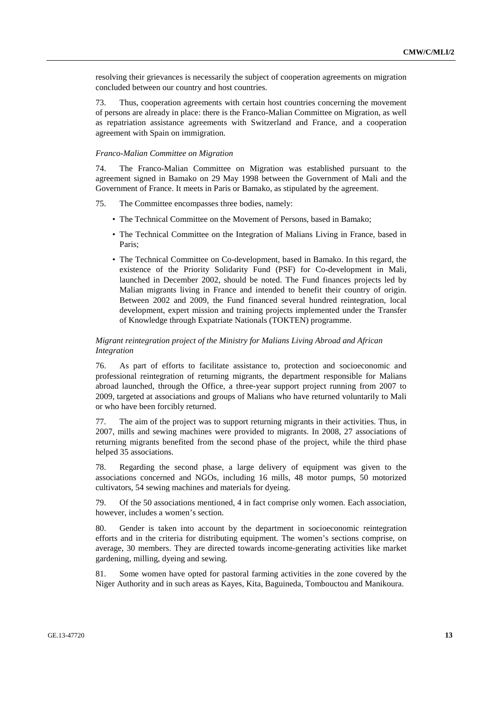resolving their grievances is necessarily the subject of cooperation agreements on migration concluded between our country and host countries.

73. Thus, cooperation agreements with certain host countries concerning the movement of persons are already in place: there is the Franco-Malian Committee on Migration, as well as repatriation assistance agreements with Switzerland and France, and a cooperation agreement with Spain on immigration.

#### *Franco-Malian Committee on Migration*

74. The Franco-Malian Committee on Migration was established pursuant to the agreement signed in Bamako on 29 May 1998 between the Government of Mali and the Government of France. It meets in Paris or Bamako, as stipulated by the agreement.

75. The Committee encompasses three bodies, namely:

- The Technical Committee on the Movement of Persons, based in Bamako;
- The Technical Committee on the Integration of Malians Living in France, based in Paris;
- The Technical Committee on Co-development, based in Bamako. In this regard, the existence of the Priority Solidarity Fund (PSF) for Co-development in Mali, launched in December 2002, should be noted. The Fund finances projects led by Malian migrants living in France and intended to benefit their country of origin. Between 2002 and 2009, the Fund financed several hundred reintegration, local development, expert mission and training projects implemented under the Transfer of Knowledge through Expatriate Nationals (TOKTEN) programme.

### *Migrant reintegration project of the Ministry for Malians Living Abroad and African Integration*

76. As part of efforts to facilitate assistance to, protection and socioeconomic and professional reintegration of returning migrants, the department responsible for Malians abroad launched, through the Office, a three-year support project running from 2007 to 2009, targeted at associations and groups of Malians who have returned voluntarily to Mali or who have been forcibly returned.

77. The aim of the project was to support returning migrants in their activities. Thus, in 2007, mills and sewing machines were provided to migrants. In 2008, 27 associations of returning migrants benefited from the second phase of the project, while the third phase helped 35 associations.

78. Regarding the second phase, a large delivery of equipment was given to the associations concerned and NGOs, including 16 mills, 48 motor pumps, 50 motorized cultivators, 54 sewing machines and materials for dyeing.

79. Of the 50 associations mentioned, 4 in fact comprise only women. Each association, however, includes a women's section.

80. Gender is taken into account by the department in socioeconomic reintegration efforts and in the criteria for distributing equipment. The women's sections comprise, on average, 30 members. They are directed towards income-generating activities like market gardening, milling, dyeing and sewing.

81. Some women have opted for pastoral farming activities in the zone covered by the Niger Authority and in such areas as Kayes, Kita, Baguineda, Tombouctou and Manikoura.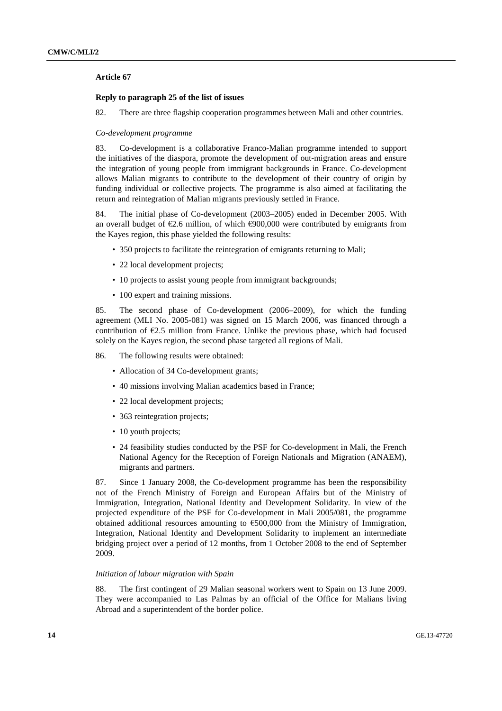### **Article 67**

### **Reply to paragraph 25 of the list of issues**

82. There are three flagship cooperation programmes between Mali and other countries.

#### *Co-development programme*

83. Co-development is a collaborative Franco-Malian programme intended to support the initiatives of the diaspora, promote the development of out-migration areas and ensure the integration of young people from immigrant backgrounds in France. Co-development allows Malian migrants to contribute to the development of their country of origin by funding individual or collective projects. The programme is also aimed at facilitating the return and reintegration of Malian migrants previously settled in France.

84. The initial phase of Co-development (2003–2005) ended in December 2005. With an overall budget of  $\epsilon$ 2.6 million, of which  $\epsilon$ 900,000 were contributed by emigrants from the Kayes region, this phase yielded the following results:

- 350 projects to facilitate the reintegration of emigrants returning to Mali;
- 22 local development projects:
- 10 projects to assist young people from immigrant backgrounds;
- 100 expert and training missions.

85. The second phase of Co-development (2006–2009), for which the funding agreement (MLI No. 2005-081) was signed on 15 March 2006, was financed through a contribution of €2.5 million from France. Unlike the previous phase, which had focused solely on the Kayes region, the second phase targeted all regions of Mali.

86. The following results were obtained:

- Allocation of 34 Co-development grants;
- 40 missions involving Malian academics based in France;
- 22 local development projects;
- 363 reintegration projects;
- 10 youth projects:
- 24 feasibility studies conducted by the PSF for Co-development in Mali, the French National Agency for the Reception of Foreign Nationals and Migration (ANAEM), migrants and partners.

87. Since 1 January 2008, the Co-development programme has been the responsibility not of the French Ministry of Foreign and European Affairs but of the Ministry of Immigration, Integration, National Identity and Development Solidarity. In view of the projected expenditure of the PSF for Co-development in Mali 2005/081, the programme obtained additional resources amounting to  $\epsilon$ 500,000 from the Ministry of Immigration, Integration, National Identity and Development Solidarity to implement an intermediate bridging project over a period of 12 months, from 1 October 2008 to the end of September 2009.

### *Initiation of labour migration with Spain*

88. The first contingent of 29 Malian seasonal workers went to Spain on 13 June 2009. They were accompanied to Las Palmas by an official of the Office for Malians living Abroad and a superintendent of the border police.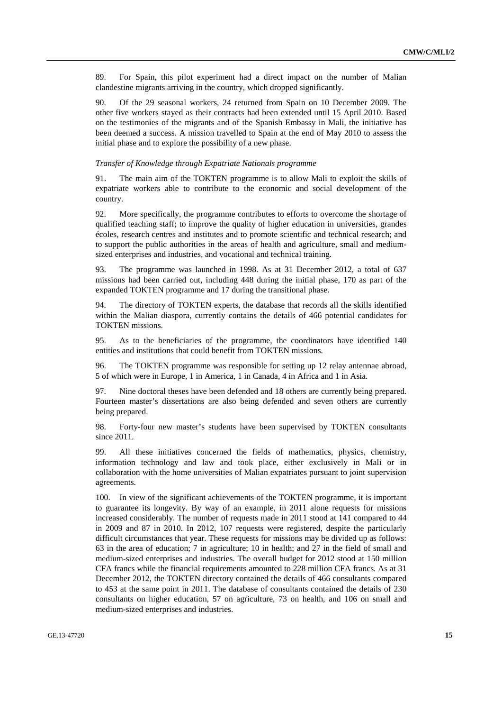89. For Spain, this pilot experiment had a direct impact on the number of Malian clandestine migrants arriving in the country, which dropped significantly.

90. Of the 29 seasonal workers, 24 returned from Spain on 10 December 2009. The other five workers stayed as their contracts had been extended until 15 April 2010. Based on the testimonies of the migrants and of the Spanish Embassy in Mali, the initiative has been deemed a success. A mission travelled to Spain at the end of May 2010 to assess the initial phase and to explore the possibility of a new phase.

### *Transfer of Knowledge through Expatriate Nationals programme*

91. The main aim of the TOKTEN programme is to allow Mali to exploit the skills of expatriate workers able to contribute to the economic and social development of the country.

92. More specifically, the programme contributes to efforts to overcome the shortage of qualified teaching staff; to improve the quality of higher education in universities, grandes écoles, research centres and institutes and to promote scientific and technical research; and to support the public authorities in the areas of health and agriculture, small and mediumsized enterprises and industries, and vocational and technical training.

93. The programme was launched in 1998. As at 31 December 2012, a total of 637 missions had been carried out, including 448 during the initial phase, 170 as part of the expanded TOKTEN programme and 17 during the transitional phase.

94. The directory of TOKTEN experts, the database that records all the skills identified within the Malian diaspora, currently contains the details of 466 potential candidates for TOKTEN missions.

95. As to the beneficiaries of the programme, the coordinators have identified 140 entities and institutions that could benefit from TOKTEN missions.

96. The TOKTEN programme was responsible for setting up 12 relay antennae abroad, 5 of which were in Europe, 1 in America, 1 in Canada, 4 in Africa and 1 in Asia.

97. Nine doctoral theses have been defended and 18 others are currently being prepared. Fourteen master's dissertations are also being defended and seven others are currently being prepared.

98. Forty-four new master's students have been supervised by TOKTEN consultants since 2011.

99. All these initiatives concerned the fields of mathematics, physics, chemistry, information technology and law and took place, either exclusively in Mali or in collaboration with the home universities of Malian expatriates pursuant to joint supervision agreements.

100. In view of the significant achievements of the TOKTEN programme, it is important to guarantee its longevity. By way of an example, in 2011 alone requests for missions increased considerably. The number of requests made in 2011 stood at 141 compared to 44 in 2009 and 87 in 2010. In 2012, 107 requests were registered, despite the particularly difficult circumstances that year. These requests for missions may be divided up as follows: 63 in the area of education; 7 in agriculture; 10 in health; and 27 in the field of small and medium-sized enterprises and industries. The overall budget for 2012 stood at 150 million CFA francs while the financial requirements amounted to 228 million CFA francs. As at 31 December 2012, the TOKTEN directory contained the details of 466 consultants compared to 453 at the same point in 2011. The database of consultants contained the details of 230 consultants on higher education, 57 on agriculture, 73 on health, and 106 on small and medium-sized enterprises and industries.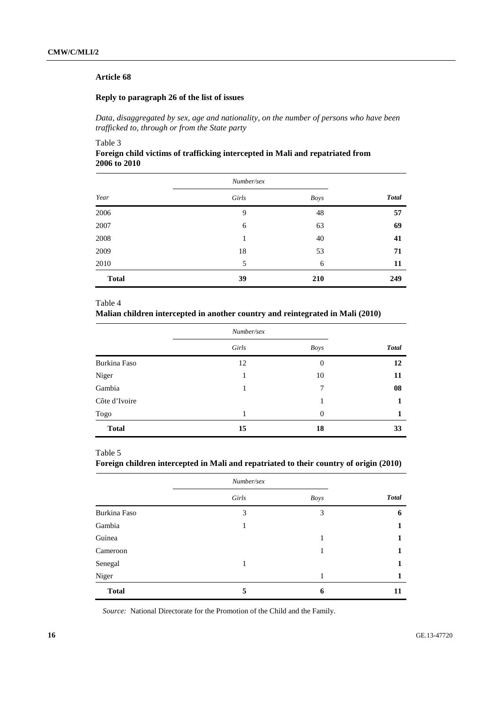### **Article 68**

### **Reply to paragraph 26 of the list of issues**

 *Data, disaggregated by sex, age and nationality, on the number of persons who have been trafficked to, through or from the State party* 

### Table 3

### **Foreign child victims of trafficking intercepted in Mali and repatriated from 2006 to 2010**

|              | Number/sex |             |              |
|--------------|------------|-------------|--------------|
| Year         | Girls      | <b>Boys</b> | <b>Total</b> |
| 2006         | 9          | 48          | 57           |
| 2007         | 6          | 63          | 69           |
| 2008         | 1          | 40          | 41           |
| 2009         | 18         | 53          | 71           |
| 2010         | 5          | 6           | 11           |
| <b>Total</b> | 39         | 210         | 249          |

### Table 4

### **Malian children intercepted in another country and reintegrated in Mali (2010)**

|               | Number/sex |                  |              |
|---------------|------------|------------------|--------------|
|               | Girls      | <b>Boys</b>      | <b>Total</b> |
| Burkina Faso  | 12         | $\boldsymbol{0}$ | 12           |
| Niger         |            | 10               | 11           |
| Gambia        |            | 7                | 08           |
| Côte d'Ivoire |            |                  |              |
| Togo          |            | $\overline{0}$   |              |
| <b>Total</b>  | 15         | 18               | 33           |

### Table 5

### **Foreign children intercepted in Mali and repatriated to their country of origin (2010)**

|              | Number/sex |             |              |
|--------------|------------|-------------|--------------|
|              | Girls      | <b>Boys</b> | <b>Total</b> |
| Burkina Faso | 3          | 3           | 6            |
| Gambia       |            |             | 1            |
| Guinea       |            |             | 1            |
| Cameroon     |            |             | 1            |
| Senegal      |            |             | 1            |
| Niger        |            | 1           | 1            |
| <b>Total</b> | 5          | 6           | 11           |

*Source:* National Directorate for the Promotion of the Child and the Family.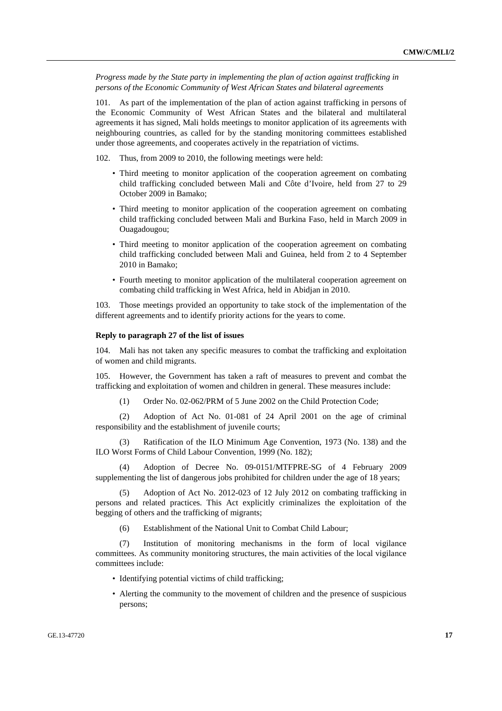*Progress made by the State party in implementing the plan of action against trafficking in persons of the Economic Community of West African States and bilateral agreements* 

101. As part of the implementation of the plan of action against trafficking in persons of the Economic Community of West African States and the bilateral and multilateral agreements it has signed, Mali holds meetings to monitor application of its agreements with neighbouring countries, as called for by the standing monitoring committees established under those agreements, and cooperates actively in the repatriation of victims.

102. Thus, from 2009 to 2010, the following meetings were held:

- Third meeting to monitor application of the cooperation agreement on combating child trafficking concluded between Mali and Côte d'Ivoire, held from 27 to 29 October 2009 in Bamako;
- Third meeting to monitor application of the cooperation agreement on combating child trafficking concluded between Mali and Burkina Faso, held in March 2009 in Ouagadougou;
- Third meeting to monitor application of the cooperation agreement on combating child trafficking concluded between Mali and Guinea, held from 2 to 4 September 2010 in Bamako;
- Fourth meeting to monitor application of the multilateral cooperation agreement on combating child trafficking in West Africa, held in Abidjan in 2010.

103. Those meetings provided an opportunity to take stock of the implementation of the different agreements and to identify priority actions for the years to come.

#### **Reply to paragraph 27 of the list of issues**

104. Mali has not taken any specific measures to combat the trafficking and exploitation of women and child migrants.

105. However, the Government has taken a raft of measures to prevent and combat the trafficking and exploitation of women and children in general. These measures include:

(1) Order No. 02-062/PRM of 5 June 2002 on the Child Protection Code;

 (2) Adoption of Act No. 01-081 of 24 April 2001 on the age of criminal responsibility and the establishment of juvenile courts;

 (3) Ratification of the ILO Minimum Age Convention, 1973 (No. 138) and the ILO Worst Forms of Child Labour Convention, 1999 (No. 182);

 (4) Adoption of Decree No. 09-0151/MTFPRE-SG of 4 February 2009 supplementing the list of dangerous jobs prohibited for children under the age of 18 years;

 (5) Adoption of Act No. 2012-023 of 12 July 2012 on combating trafficking in persons and related practices. This Act explicitly criminalizes the exploitation of the begging of others and the trafficking of migrants;

(6) Establishment of the National Unit to Combat Child Labour;

 (7) Institution of monitoring mechanisms in the form of local vigilance committees. As community monitoring structures, the main activities of the local vigilance committees include:

- Identifying potential victims of child trafficking;
- Alerting the community to the movement of children and the presence of suspicious persons;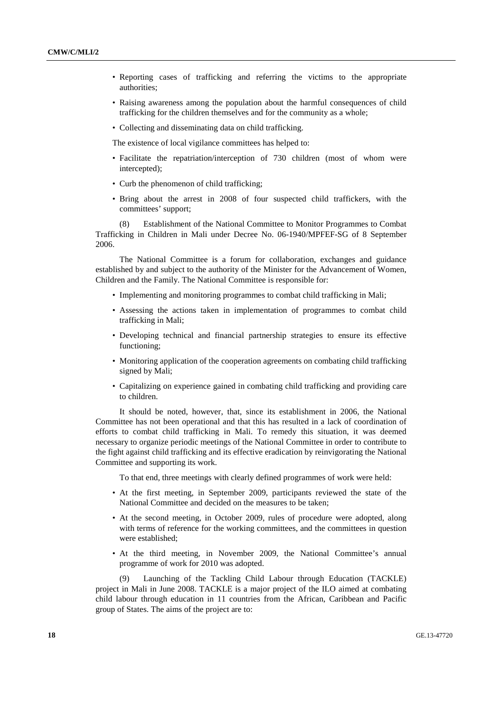- Reporting cases of trafficking and referring the victims to the appropriate authorities;
- Raising awareness among the population about the harmful consequences of child trafficking for the children themselves and for the community as a whole;
- Collecting and disseminating data on child trafficking.

The existence of local vigilance committees has helped to:

- Facilitate the repatriation/interception of 730 children (most of whom were intercepted);
- Curb the phenomenon of child trafficking;
- Bring about the arrest in 2008 of four suspected child traffickers, with the committees' support;

 (8) Establishment of the National Committee to Monitor Programmes to Combat Trafficking in Children in Mali under Decree No. 06-1940/MPFEF-SG of 8 September 2006.

 The National Committee is a forum for collaboration, exchanges and guidance established by and subject to the authority of the Minister for the Advancement of Women, Children and the Family. The National Committee is responsible for:

- Implementing and monitoring programmes to combat child trafficking in Mali;
- Assessing the actions taken in implementation of programmes to combat child trafficking in Mali;
- Developing technical and financial partnership strategies to ensure its effective functioning;
- Monitoring application of the cooperation agreements on combating child trafficking signed by Mali;
- Capitalizing on experience gained in combating child trafficking and providing care to children.

 It should be noted, however, that, since its establishment in 2006, the National Committee has not been operational and that this has resulted in a lack of coordination of efforts to combat child trafficking in Mali. To remedy this situation, it was deemed necessary to organize periodic meetings of the National Committee in order to contribute to the fight against child trafficking and its effective eradication by reinvigorating the National Committee and supporting its work.

To that end, three meetings with clearly defined programmes of work were held:

- At the first meeting, in September 2009, participants reviewed the state of the National Committee and decided on the measures to be taken;
- At the second meeting, in October 2009, rules of procedure were adopted, along with terms of reference for the working committees, and the committees in question were established;
- At the third meeting, in November 2009, the National Committee's annual programme of work for 2010 was adopted.

 (9) Launching of the Tackling Child Labour through Education (TACKLE) project in Mali in June 2008. TACKLE is a major project of the ILO aimed at combating child labour through education in 11 countries from the African, Caribbean and Pacific group of States. The aims of the project are to: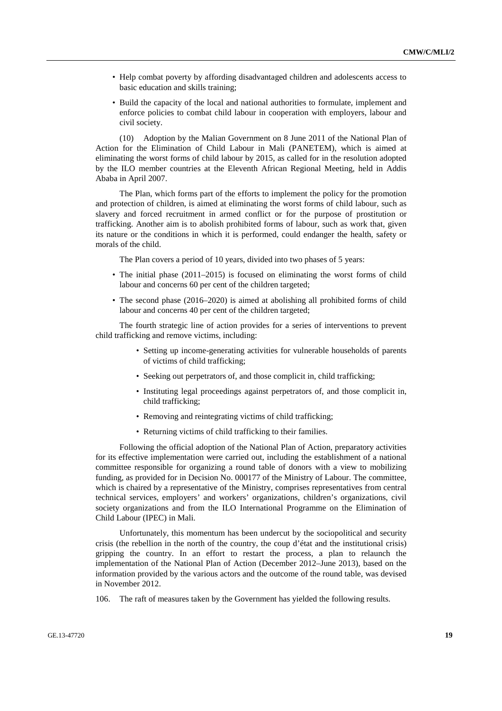- Help combat poverty by affording disadvantaged children and adolescents access to basic education and skills training;
- Build the capacity of the local and national authorities to formulate, implement and enforce policies to combat child labour in cooperation with employers, labour and civil society.

 (10) Adoption by the Malian Government on 8 June 2011 of the National Plan of Action for the Elimination of Child Labour in Mali (PANETEM), which is aimed at eliminating the worst forms of child labour by 2015, as called for in the resolution adopted by the ILO member countries at the Eleventh African Regional Meeting, held in Addis Ababa in April 2007.

 The Plan, which forms part of the efforts to implement the policy for the promotion and protection of children, is aimed at eliminating the worst forms of child labour, such as slavery and forced recruitment in armed conflict or for the purpose of prostitution or trafficking. Another aim is to abolish prohibited forms of labour, such as work that, given its nature or the conditions in which it is performed, could endanger the health, safety or morals of the child.

The Plan covers a period of 10 years, divided into two phases of 5 years:

- The initial phase (2011–2015) is focused on eliminating the worst forms of child labour and concerns 60 per cent of the children targeted;
- The second phase (2016–2020) is aimed at abolishing all prohibited forms of child labour and concerns 40 per cent of the children targeted;

 The fourth strategic line of action provides for a series of interventions to prevent child trafficking and remove victims, including:

- Setting up income-generating activities for vulnerable households of parents of victims of child trafficking;
- Seeking out perpetrators of, and those complicit in, child trafficking;
- Instituting legal proceedings against perpetrators of, and those complicit in, child trafficking;
- Removing and reintegrating victims of child trafficking;
- Returning victims of child trafficking to their families.

 Following the official adoption of the National Plan of Action, preparatory activities for its effective implementation were carried out, including the establishment of a national committee responsible for organizing a round table of donors with a view to mobilizing funding, as provided for in Decision No. 000177 of the Ministry of Labour. The committee, which is chaired by a representative of the Ministry, comprises representatives from central technical services, employers' and workers' organizations, children's organizations, civil society organizations and from the ILO International Programme on the Elimination of Child Labour (IPEC) in Mali.

 Unfortunately, this momentum has been undercut by the sociopolitical and security crisis (the rebellion in the north of the country, the coup d'état and the institutional crisis) gripping the country. In an effort to restart the process, a plan to relaunch the implementation of the National Plan of Action (December 2012–June 2013), based on the information provided by the various actors and the outcome of the round table, was devised in November 2012.

106. The raft of measures taken by the Government has yielded the following results.